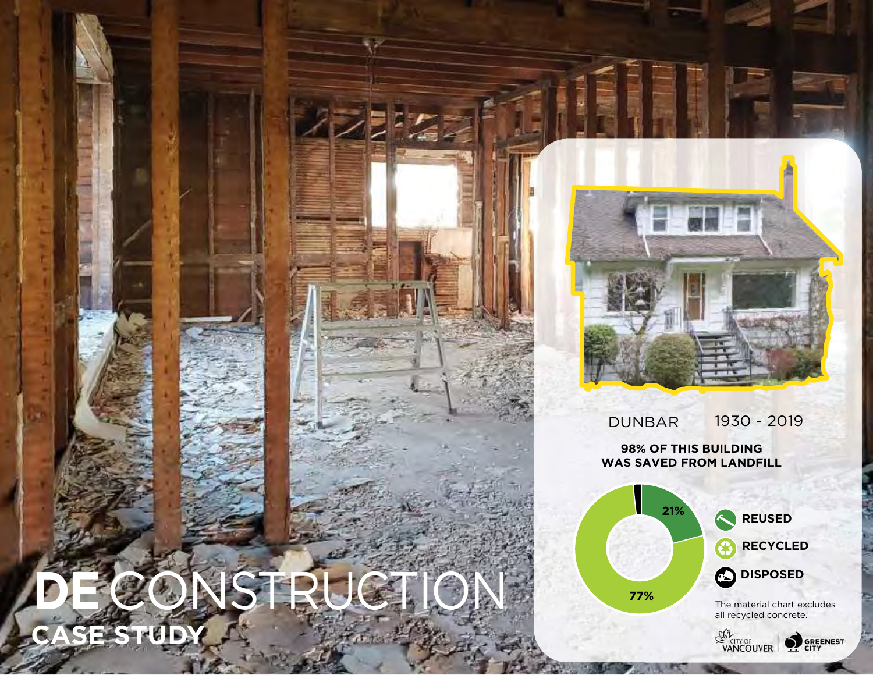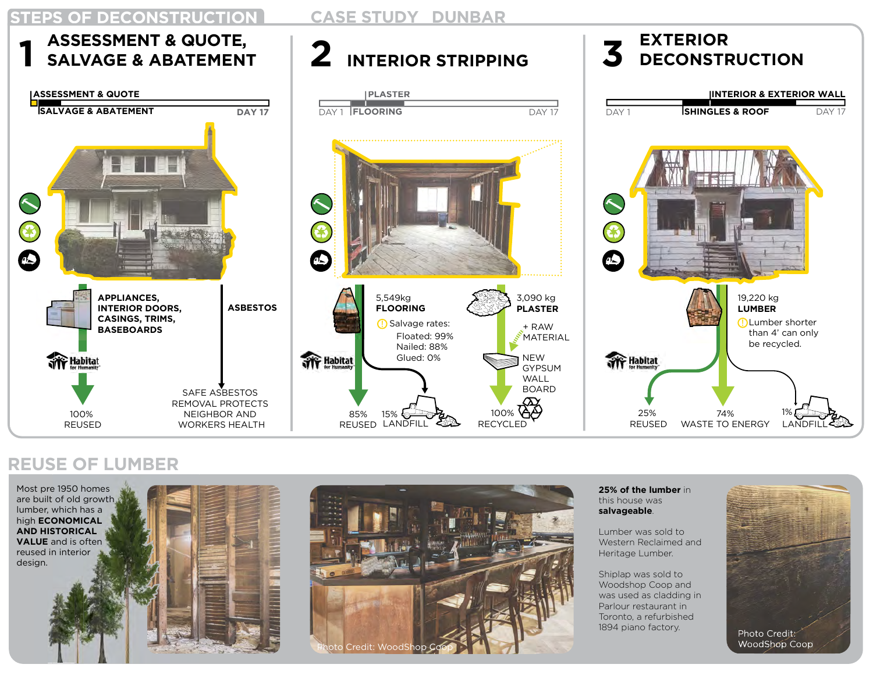

#### REUSE OF LUMBER







25% of the lumber in this house was salvageable.

Lumber was sold to Western Reclaimed and Heritage Lumber.

Shiplap was sold to Woodshop Coop and was used as cladding in Parlour restaurant in Toronto, a refurbished 1894 piano factory.